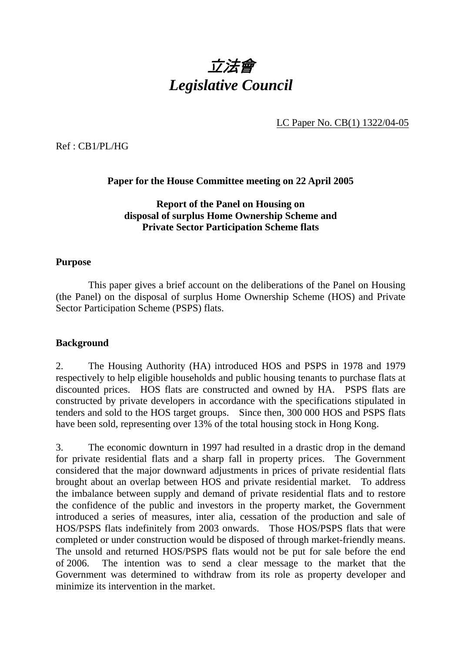

LC Paper No. CB(1) 1322/04-05

Ref : CB1/PL/HG

# **Paper for the House Committee meeting on 22 April 2005**

# **Report of the Panel on Housing on disposal of surplus Home Ownership Scheme and Private Sector Participation Scheme flats**

### **Purpose**

 This paper gives a brief account on the deliberations of the Panel on Housing (the Panel) on the disposal of surplus Home Ownership Scheme (HOS) and Private Sector Participation Scheme (PSPS) flats.

#### **Background**

2. The Housing Authority (HA) introduced HOS and PSPS in 1978 and 1979 respectively to help eligible households and public housing tenants to purchase flats at discounted prices. HOS flats are constructed and owned by HA. PSPS flats are constructed by private developers in accordance with the specifications stipulated in tenders and sold to the HOS target groups. Since then, 300 000 HOS and PSPS flats have been sold, representing over 13% of the total housing stock in Hong Kong.

3. The economic downturn in 1997 had resulted in a drastic drop in the demand for private residential flats and a sharp fall in property prices. The Government considered that the major downward adjustments in prices of private residential flats brought about an overlap between HOS and private residential market. To address the imbalance between supply and demand of private residential flats and to restore the confidence of the public and investors in the property market, the Government introduced a series of measures, inter alia, cessation of the production and sale of HOS/PSPS flats indefinitely from 2003 onwards. Those HOS/PSPS flats that were completed or under construction would be disposed of through market-friendly means. The unsold and returned HOS/PSPS flats would not be put for sale before the end of 2006. The intention was to send a clear message to the market that the Government was determined to withdraw from its role as property developer and minimize its intervention in the market.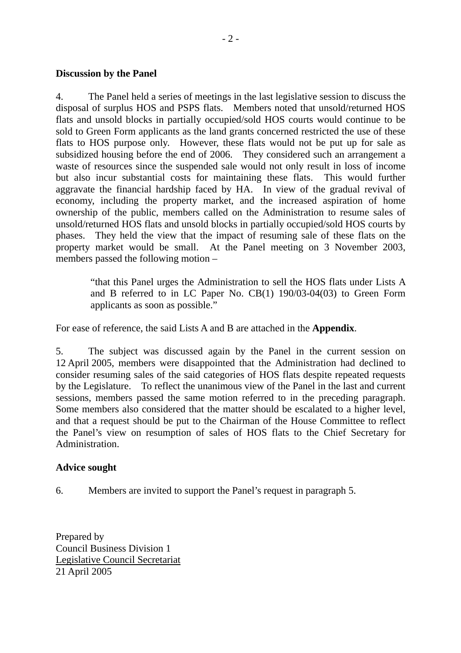#### **Discussion by the Panel**

4. The Panel held a series of meetings in the last legislative session to discuss the disposal of surplus HOS and PSPS flats. Members noted that unsold/returned HOS flats and unsold blocks in partially occupied/sold HOS courts would continue to be sold to Green Form applicants as the land grants concerned restricted the use of these flats to HOS purpose only. However, these flats would not be put up for sale as subsidized housing before the end of 2006. They considered such an arrangement a waste of resources since the suspended sale would not only result in loss of income but also incur substantial costs for maintaining these flats. This would further aggravate the financial hardship faced by HA. In view of the gradual revival of economy, including the property market, and the increased aspiration of home ownership of the public, members called on the Administration to resume sales of unsold/returned HOS flats and unsold blocks in partially occupied/sold HOS courts by phases. They held the view that the impact of resuming sale of these flats on the property market would be small. At the Panel meeting on 3 November 2003, members passed the following motion –

"that this Panel urges the Administration to sell the HOS flats under Lists A and B referred to in LC Paper No. CB(1) 190/03-04(03) to Green Form applicants as soon as possible."

For ease of reference, the said Lists A and B are attached in the **Appendix**.

5. The subject was discussed again by the Panel in the current session on 12 April 2005, members were disappointed that the Administration had declined to consider resuming sales of the said categories of HOS flats despite repeated requests by the Legislature. To reflect the unanimous view of the Panel in the last and current sessions, members passed the same motion referred to in the preceding paragraph. Some members also considered that the matter should be escalated to a higher level, and that a request should be put to the Chairman of the House Committee to reflect the Panel's view on resumption of sales of HOS flats to the Chief Secretary for Administration.

#### **Advice sought**

6. Members are invited to support the Panel's request in paragraph 5.

Prepared by Council Business Division 1 Legislative Council Secretariat 21 April 2005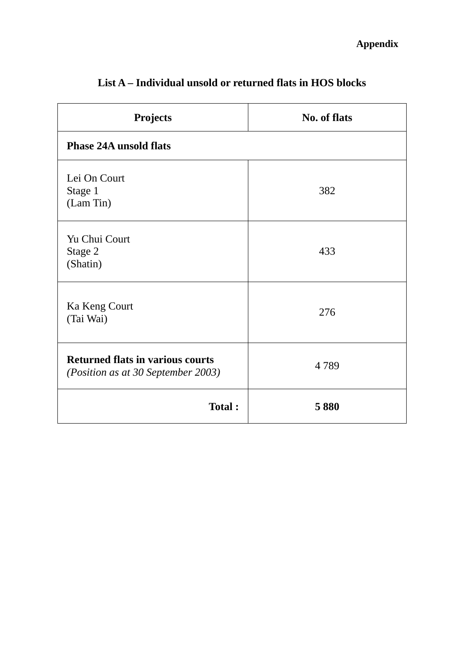| <b>Projects</b>                                                                      | <b>No. of flats</b> |  |
|--------------------------------------------------------------------------------------|---------------------|--|
| <b>Phase 24A unsold flats</b>                                                        |                     |  |
| Lei On Court<br>Stage 1<br>(Lam Tin)                                                 | 382                 |  |
| Yu Chui Court<br>Stage 2<br>(Shatin)                                                 | 433                 |  |
| Ka Keng Court<br>(Tai Wai)                                                           | 276                 |  |
| <b>Returned flats in various courts</b><br><i>(Position as at 30 September 2003)</i> | 4789                |  |
| <b>Total:</b>                                                                        | 5880                |  |

# **List A – Individual unsold or returned flats in HOS blocks**